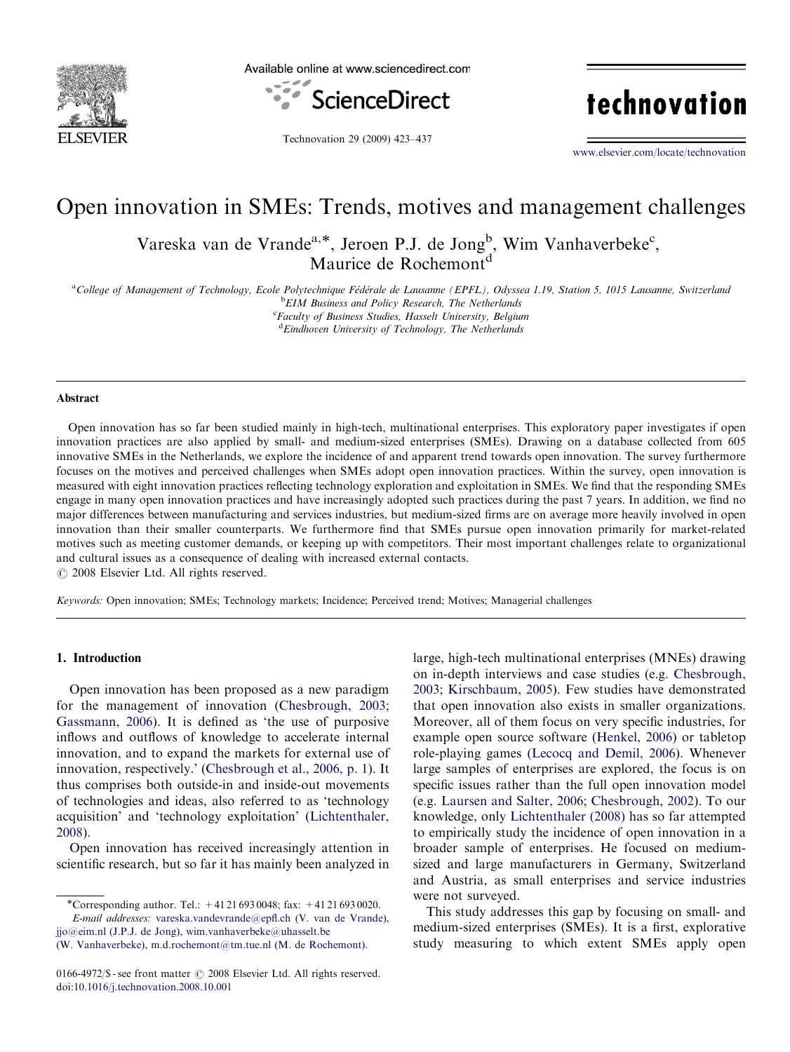

Available online at www.sciencedirect.com



technovation

Technovation 29 (2009) 423–437

<www.elsevier.com/locate/technovation>

# Open innovation in SMEs: Trends, motives and management challenges

Vareska van de Vrande<sup>a,\*</sup>, Jeroen P.J. de Jong<sup>b</sup>, Wim Vanhaverbeke<sup>c</sup>, Maurice de Rochemont<sup>d</sup>

<sup>a</sup>College of Management of Technology, Ecole Polytechnique Fédérale de Lausanne (EPFL), Odyssea 1.19, Station 5, 1015 Lausanne, Switzerland **bEIM Business and Policy Research, The Netherlands** 

<sup>c</sup>Faculty of Business Studies, Hasselt University, Belgium <sup>d</sup> Eindhoven University of Technology, The Netherlands

#### Abstract

Open innovation has so far been studied mainly in high-tech, multinational enterprises. This exploratory paper investigates if open innovation practices are also applied by small- and medium-sized enterprises (SMEs). Drawing on a database collected from 605 innovative SMEs in the Netherlands, we explore the incidence of and apparent trend towards open innovation. The survey furthermore focuses on the motives and perceived challenges when SMEs adopt open innovation practices. Within the survey, open innovation is measured with eight innovation practices reflecting technology exploration and exploitation in SMEs. We find that the responding SMEs engage in many open innovation practices and have increasingly adopted such practices during the past 7 years. In addition, we find no major differences between manufacturing and services industries, but medium-sized firms are on average more heavily involved in open innovation than their smaller counterparts. We furthermore find that SMEs pursue open innovation primarily for market-related motives such as meeting customer demands, or keeping up with competitors. Their most important challenges relate to organizational and cultural issues as a consequence of dealing with increased external contacts.

 $C$  2008 Elsevier Ltd. All rights reserved.

Keywords: Open innovation; SMEs; Technology markets; Incidence; Perceived trend; Motives; Managerial challenges

#### 1. Introduction

Open innovation has been proposed as a new paradigm for the management of innovation ([Chesbrough, 2003;](#page-14-0) [Gassmann, 2006](#page-14-0)). It is defined as 'the use of purposive inflows and outflows of knowledge to accelerate internal innovation, and to expand the markets for external use of innovation, respectively.' [\(Chesbrough et al., 2006, p. 1\)](#page-14-0). It thus comprises both outside-in and inside-out movements of technologies and ideas, also referred to as 'technology acquisition' and 'technology exploitation' ([Lichtenthaler,](#page-14-0) [2008](#page-14-0)).

Open innovation has received increasingly attention in scientific research, but so far it has mainly been analyzed in

-Corresponding author. Tel.: +41 21 693 0048; fax: +41 21 693 0020. E-mail addresses: [vareska.vandevrande@epfl.ch \(V. van de Vrande\)](mailto:vareska.vandevrande@epfl.ch),

[jjo@eim.nl \(J.P.J. de Jong\),](mailto:jjo@eim.nl) [wim.vanhaverbeke@uhasselt.be](mailto:wim.vanhaverbeke@uhasselt.be) [\(W. Vanhaverbeke\)](mailto:wim.vanhaverbeke@uhasselt.be), [m.d.rochemont@tm.tue.nl \(M. de Rochemont\)](mailto:m.d.rochemont@tm.tue.nl). large, high-tech multinational enterprises (MNEs) drawing on in-depth interviews and case studies (e.g. [Chesbrough,](#page-14-0) [2003](#page-14-0); [Kirschbaum, 2005\)](#page-14-0). Few studies have demonstrated that open innovation also exists in smaller organizations. Moreover, all of them focus on very specific industries, for example open source software ([Henkel, 2006](#page-14-0)) or tabletop role-playing games ([Lecocq and Demil, 2006](#page-14-0)). Whenever large samples of enterprises are explored, the focus is on specific issues rather than the full open innovation model (e.g. [Laursen and Salter, 2006](#page-14-0); [Chesbrough, 2002](#page-14-0)). To our knowledge, only [Lichtenthaler \(2008\)](#page-14-0) has so far attempted to empirically study the incidence of open innovation in a broader sample of enterprises. He focused on mediumsized and large manufacturers in Germany, Switzerland and Austria, as small enterprises and service industries were not surveyed.

This study addresses this gap by focusing on small- and medium-sized enterprises (SMEs). It is a first, explorative study measuring to which extent SMEs apply open

<sup>0166-4972/\$ -</sup> see front matter  $\odot$  2008 Elsevier Ltd. All rights reserved. doi:[10.1016/j.technovation.2008.10.001](dx.doi.org/10.1016/j.technovation.2008.10.001)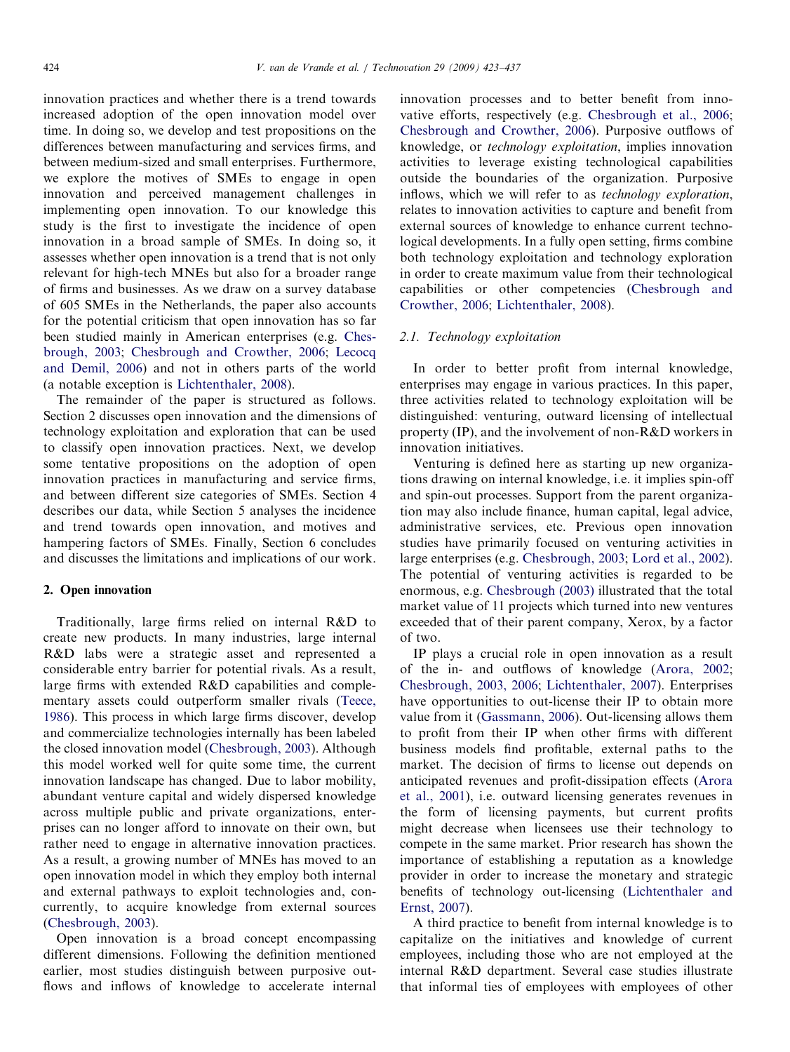innovation practices and whether there is a trend towards increased adoption of the open innovation model over time. In doing so, we develop and test propositions on the differences between manufacturing and services firms, and between medium-sized and small enterprises. Furthermore, we explore the motives of SMEs to engage in open innovation and perceived management challenges in implementing open innovation. To our knowledge this study is the first to investigate the incidence of open innovation in a broad sample of SMEs. In doing so, it assesses whether open innovation is a trend that is not only relevant for high-tech MNEs but also for a broader range of firms and businesses. As we draw on a survey database of 605 SMEs in the Netherlands, the paper also accounts for the potential criticism that open innovation has so far been studied mainly in American enterprises (e.g. [Ches](#page-14-0)[brough, 2003](#page-14-0); [Chesbrough and Crowther, 2006](#page-14-0); [Lecocq](#page-14-0) [and Demil, 2006](#page-14-0)) and not in others parts of the world (a notable exception is [Lichtenthaler, 2008\)](#page-14-0).

The remainder of the paper is structured as follows. Section 2 discusses open innovation and the dimensions of technology exploitation and exploration that can be used to classify open innovation practices. Next, we develop some tentative propositions on the adoption of open innovation practices in manufacturing and service firms, and between different size categories of SMEs. Section 4 describes our data, while Section 5 analyses the incidence and trend towards open innovation, and motives and hampering factors of SMEs. Finally, Section 6 concludes and discusses the limitations and implications of our work.

# 2. Open innovation

Traditionally, large firms relied on internal R&D to create new products. In many industries, large internal R&D labs were a strategic asset and represented a considerable entry barrier for potential rivals. As a result, large firms with extended R&D capabilities and complementary assets could outperform smaller rivals ([Teece,](#page-14-0) [1986\)](#page-14-0). This process in which large firms discover, develop and commercialize technologies internally has been labeled the closed innovation model ([Chesbrough, 2003\)](#page-14-0). Although this model worked well for quite some time, the current innovation landscape has changed. Due to labor mobility, abundant venture capital and widely dispersed knowledge across multiple public and private organizations, enterprises can no longer afford to innovate on their own, but rather need to engage in alternative innovation practices. As a result, a growing number of MNEs has moved to an open innovation model in which they employ both internal and external pathways to exploit technologies and, concurrently, to acquire knowledge from external sources [\(Chesbrough, 2003\)](#page-14-0).

Open innovation is a broad concept encompassing different dimensions. Following the definition mentioned earlier, most studies distinguish between purposive outflows and inflows of knowledge to accelerate internal innovation processes and to better benefit from innovative efforts, respectively (e.g. [Chesbrough et al., 2006](#page-14-0); [Chesbrough and Crowther, 2006](#page-14-0)). Purposive outflows of knowledge, or technology exploitation, implies innovation activities to leverage existing technological capabilities outside the boundaries of the organization. Purposive inflows, which we will refer to as technology exploration, relates to innovation activities to capture and benefit from external sources of knowledge to enhance current technological developments. In a fully open setting, firms combine both technology exploitation and technology exploration in order to create maximum value from their technological capabilities or other competencies [\(Chesbrough and](#page-14-0) [Crowther, 2006](#page-14-0); [Lichtenthaler, 2008\)](#page-14-0).

# 2.1. Technology exploitation

In order to better profit from internal knowledge, enterprises may engage in various practices. In this paper, three activities related to technology exploitation will be distinguished: venturing, outward licensing of intellectual property (IP), and the involvement of non-R&D workers in innovation initiatives.

Venturing is defined here as starting up new organizations drawing on internal knowledge, i.e. it implies spin-off and spin-out processes. Support from the parent organization may also include finance, human capital, legal advice, administrative services, etc. Previous open innovation studies have primarily focused on venturing activities in large enterprises (e.g. [Chesbrough, 2003](#page-14-0); [Lord et al., 2002\)](#page-14-0). The potential of venturing activities is regarded to be enormous, e.g. [Chesbrough \(2003\)](#page-14-0) illustrated that the total market value of 11 projects which turned into new ventures exceeded that of their parent company, Xerox, by a factor of two.

IP plays a crucial role in open innovation as a result of the in- and outflows of knowledge [\(Arora, 2002](#page-14-0); [Chesbrough, 2003, 2006;](#page-14-0) [Lichtenthaler, 2007](#page-14-0)). Enterprises have opportunities to out-license their IP to obtain more value from it ([Gassmann, 2006](#page-14-0)). Out-licensing allows them to profit from their IP when other firms with different business models find profitable, external paths to the market. The decision of firms to license out depends on anticipated revenues and profit-dissipation effects ([Arora](#page-14-0) [et al., 2001](#page-14-0)), i.e. outward licensing generates revenues in the form of licensing payments, but current profits might decrease when licensees use their technology to compete in the same market. Prior research has shown the importance of establishing a reputation as a knowledge provider in order to increase the monetary and strategic benefits of technology out-licensing [\(Lichtenthaler and](#page-14-0) [Ernst, 2007\)](#page-14-0).

A third practice to benefit from internal knowledge is to capitalize on the initiatives and knowledge of current employees, including those who are not employed at the internal R&D department. Several case studies illustrate that informal ties of employees with employees of other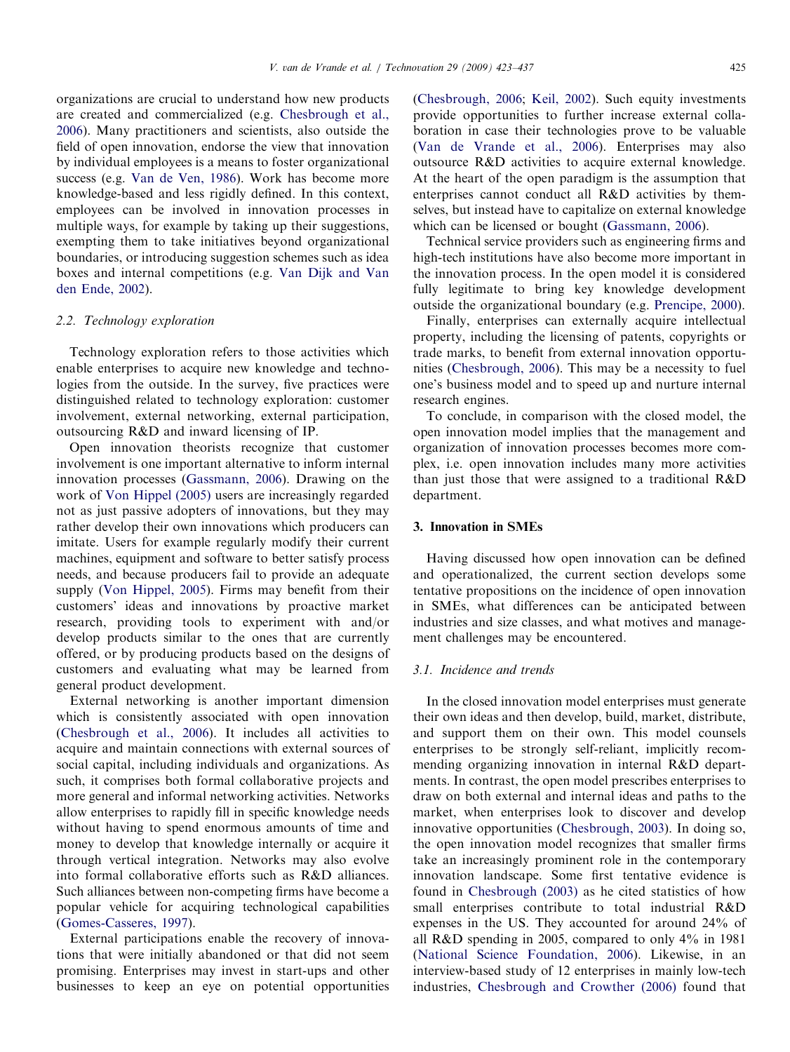organizations are crucial to understand how new products are created and commercialized (e.g. [Chesbrough et al.,](#page-14-0) [2006](#page-14-0)). Many practitioners and scientists, also outside the field of open innovation, endorse the view that innovation by individual employees is a means to foster organizational success (e.g. [Van de Ven, 1986](#page-14-0)). Work has become more knowledge-based and less rigidly defined. In this context, employees can be involved in innovation processes in multiple ways, for example by taking up their suggestions, exempting them to take initiatives beyond organizational boundaries, or introducing suggestion schemes such as idea boxes and internal competitions (e.g. [Van Dijk and Van](#page-14-0) [den Ende, 2002](#page-14-0)).

## 2.2. Technology exploration

Technology exploration refers to those activities which enable enterprises to acquire new knowledge and technologies from the outside. In the survey, five practices were distinguished related to technology exploration: customer involvement, external networking, external participation, outsourcing R&D and inward licensing of IP.

Open innovation theorists recognize that customer involvement is one important alternative to inform internal innovation processes [\(Gassmann, 2006\)](#page-14-0). Drawing on the work of [Von Hippel \(2005\)](#page-14-0) users are increasingly regarded not as just passive adopters of innovations, but they may rather develop their own innovations which producers can imitate. Users for example regularly modify their current machines, equipment and software to better satisfy process needs, and because producers fail to provide an adequate supply ([Von Hippel, 2005](#page-14-0)). Firms may benefit from their customers' ideas and innovations by proactive market research, providing tools to experiment with and/or develop products similar to the ones that are currently offered, or by producing products based on the designs of customers and evaluating what may be learned from general product development.

External networking is another important dimension which is consistently associated with open innovation ([Chesbrough et al., 2006](#page-14-0)). It includes all activities to acquire and maintain connections with external sources of social capital, including individuals and organizations. As such, it comprises both formal collaborative projects and more general and informal networking activities. Networks allow enterprises to rapidly fill in specific knowledge needs without having to spend enormous amounts of time and money to develop that knowledge internally or acquire it through vertical integration. Networks may also evolve into formal collaborative efforts such as R&D alliances. Such alliances between non-competing firms have become a popular vehicle for acquiring technological capabilities ([Gomes-Casseres, 1997\)](#page-14-0).

External participations enable the recovery of innovations that were initially abandoned or that did not seem promising. Enterprises may invest in start-ups and other businesses to keep an eye on potential opportunities ([Chesbrough, 2006;](#page-14-0) [Keil, 2002](#page-14-0)). Such equity investments provide opportunities to further increase external collaboration in case their technologies prove to be valuable ([Van de Vrande et al., 2006](#page-14-0)). Enterprises may also outsource R&D activities to acquire external knowledge. At the heart of the open paradigm is the assumption that enterprises cannot conduct all R&D activities by themselves, but instead have to capitalize on external knowledge which can be licensed or bought ([Gassmann, 2006](#page-14-0)).

Technical service providers such as engineering firms and high-tech institutions have also become more important in the innovation process. In the open model it is considered fully legitimate to bring key knowledge development outside the organizational boundary (e.g. [Prencipe, 2000](#page-14-0)).

Finally, enterprises can externally acquire intellectual property, including the licensing of patents, copyrights or trade marks, to benefit from external innovation opportunities ([Chesbrough, 2006\)](#page-14-0). This may be a necessity to fuel one's business model and to speed up and nurture internal research engines.

To conclude, in comparison with the closed model, the open innovation model implies that the management and organization of innovation processes becomes more complex, i.e. open innovation includes many more activities than just those that were assigned to a traditional R&D department.

## 3. Innovation in SMEs

Having discussed how open innovation can be defined and operationalized, the current section develops some tentative propositions on the incidence of open innovation in SMEs, what differences can be anticipated between industries and size classes, and what motives and management challenges may be encountered.

# 3.1. Incidence and trends

In the closed innovation model enterprises must generate their own ideas and then develop, build, market, distribute, and support them on their own. This model counsels enterprises to be strongly self-reliant, implicitly recommending organizing innovation in internal R&D departments. In contrast, the open model prescribes enterprises to draw on both external and internal ideas and paths to the market, when enterprises look to discover and develop innovative opportunities [\(Chesbrough, 2003](#page-14-0)). In doing so, the open innovation model recognizes that smaller firms take an increasingly prominent role in the contemporary innovation landscape. Some first tentative evidence is found in [Chesbrough \(2003\)](#page-14-0) as he cited statistics of how small enterprises contribute to total industrial R&D expenses in the US. They accounted for around 24% of all R&D spending in 2005, compared to only 4% in 1981 ([National Science Foundation, 2006\)](#page-14-0). Likewise, in an interview-based study of 12 enterprises in mainly low-tech industries, [Chesbrough and Crowther \(2006\)](#page-14-0) found that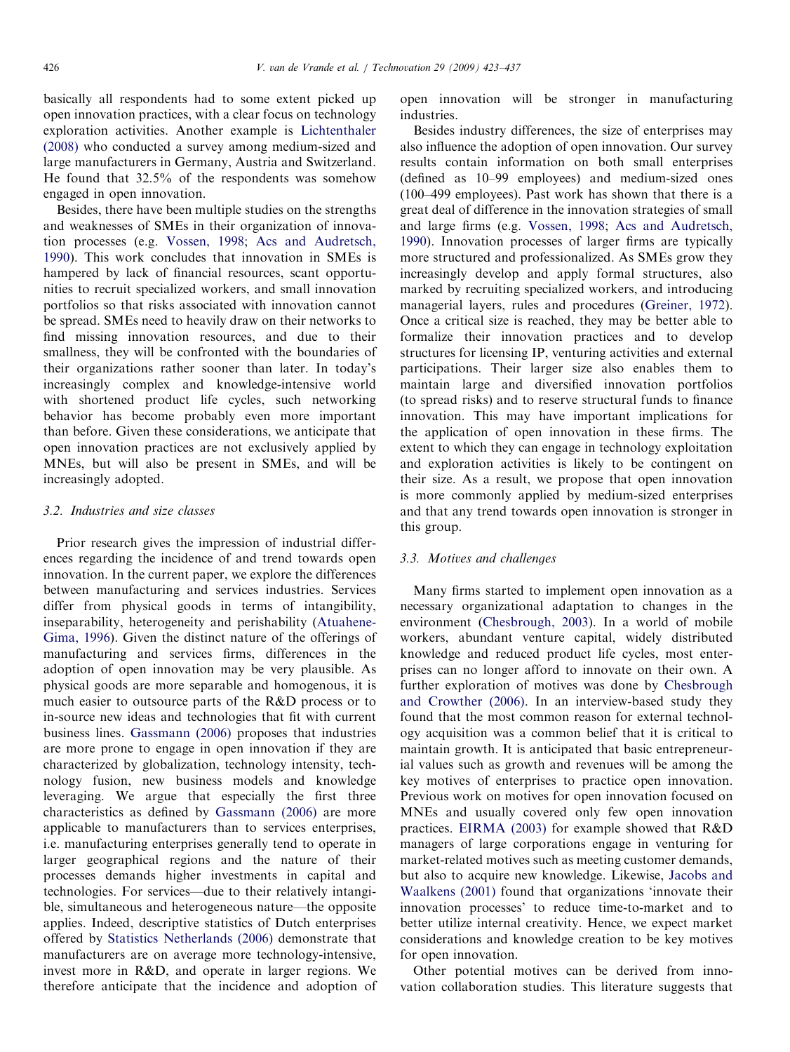basically all respondents had to some extent picked up open innovation practices, with a clear focus on technology exploration activities. Another example is [Lichtenthaler](#page-14-0) [\(2008\)](#page-14-0) who conducted a survey among medium-sized and large manufacturers in Germany, Austria and Switzerland. He found that 32.5% of the respondents was somehow engaged in open innovation.

Besides, there have been multiple studies on the strengths and weaknesses of SMEs in their organization of innovation processes (e.g. [Vossen, 1998](#page-14-0); [Acs and Audretsch,](#page-14-0) [1990\)](#page-14-0). This work concludes that innovation in SMEs is hampered by lack of financial resources, scant opportunities to recruit specialized workers, and small innovation portfolios so that risks associated with innovation cannot be spread. SMEs need to heavily draw on their networks to find missing innovation resources, and due to their smallness, they will be confronted with the boundaries of their organizations rather sooner than later. In today's increasingly complex and knowledge-intensive world with shortened product life cycles, such networking behavior has become probably even more important than before. Given these considerations, we anticipate that open innovation practices are not exclusively applied by MNEs, but will also be present in SMEs, and will be increasingly adopted.

#### 3.2. Industries and size classes

Prior research gives the impression of industrial differences regarding the incidence of and trend towards open innovation. In the current paper, we explore the differences between manufacturing and services industries. Services differ from physical goods in terms of intangibility, inseparability, heterogeneity and perishability [\(Atuahene-](#page-14-0)[Gima, 1996](#page-14-0)). Given the distinct nature of the offerings of manufacturing and services firms, differences in the adoption of open innovation may be very plausible. As physical goods are more separable and homogenous, it is much easier to outsource parts of the R&D process or to in-source new ideas and technologies that fit with current business lines. [Gassmann \(2006\)](#page-14-0) proposes that industries are more prone to engage in open innovation if they are characterized by globalization, technology intensity, technology fusion, new business models and knowledge leveraging. We argue that especially the first three characteristics as defined by [Gassmann \(2006\)](#page-14-0) are more applicable to manufacturers than to services enterprises, i.e. manufacturing enterprises generally tend to operate in larger geographical regions and the nature of their processes demands higher investments in capital and technologies. For services—due to their relatively intangible, simultaneous and heterogeneous nature—the opposite applies. Indeed, descriptive statistics of Dutch enterprises offered by [Statistics Netherlands \(2006\)](#page-14-0) demonstrate that manufacturers are on average more technology-intensive, invest more in R&D, and operate in larger regions. We therefore anticipate that the incidence and adoption of open innovation will be stronger in manufacturing industries.

Besides industry differences, the size of enterprises may also influence the adoption of open innovation. Our survey results contain information on both small enterprises (defined as 10–99 employees) and medium-sized ones (100–499 employees). Past work has shown that there is a great deal of difference in the innovation strategies of small and large firms (e.g. [Vossen, 1998](#page-14-0); [Acs and Audretsch,](#page-14-0) [1990\)](#page-14-0). Innovation processes of larger firms are typically more structured and professionalized. As SMEs grow they increasingly develop and apply formal structures, also marked by recruiting specialized workers, and introducing managerial layers, rules and procedures [\(Greiner, 1972\)](#page-14-0). Once a critical size is reached, they may be better able to formalize their innovation practices and to develop structures for licensing IP, venturing activities and external participations. Their larger size also enables them to maintain large and diversified innovation portfolios (to spread risks) and to reserve structural funds to finance innovation. This may have important implications for the application of open innovation in these firms. The extent to which they can engage in technology exploitation and exploration activities is likely to be contingent on their size. As a result, we propose that open innovation is more commonly applied by medium-sized enterprises and that any trend towards open innovation is stronger in this group.

# 3.3. Motives and challenges

Many firms started to implement open innovation as a necessary organizational adaptation to changes in the environment [\(Chesbrough, 2003\)](#page-14-0). In a world of mobile workers, abundant venture capital, widely distributed knowledge and reduced product life cycles, most enterprises can no longer afford to innovate on their own. A further exploration of motives was done by [Chesbrough](#page-14-0) [and Crowther \(2006\).](#page-14-0) In an interview-based study they found that the most common reason for external technology acquisition was a common belief that it is critical to maintain growth. It is anticipated that basic entrepreneurial values such as growth and revenues will be among the key motives of enterprises to practice open innovation. Previous work on motives for open innovation focused on MNEs and usually covered only few open innovation practices. [EIRMA \(2003\)](#page-14-0) for example showed that R&D managers of large corporations engage in venturing for market-related motives such as meeting customer demands, but also to acquire new knowledge. Likewise, [Jacobs and](#page-14-0) [Waalkens \(2001\)](#page-14-0) found that organizations 'innovate their innovation processes' to reduce time-to-market and to better utilize internal creativity. Hence, we expect market considerations and knowledge creation to be key motives for open innovation.

Other potential motives can be derived from innovation collaboration studies. This literature suggests that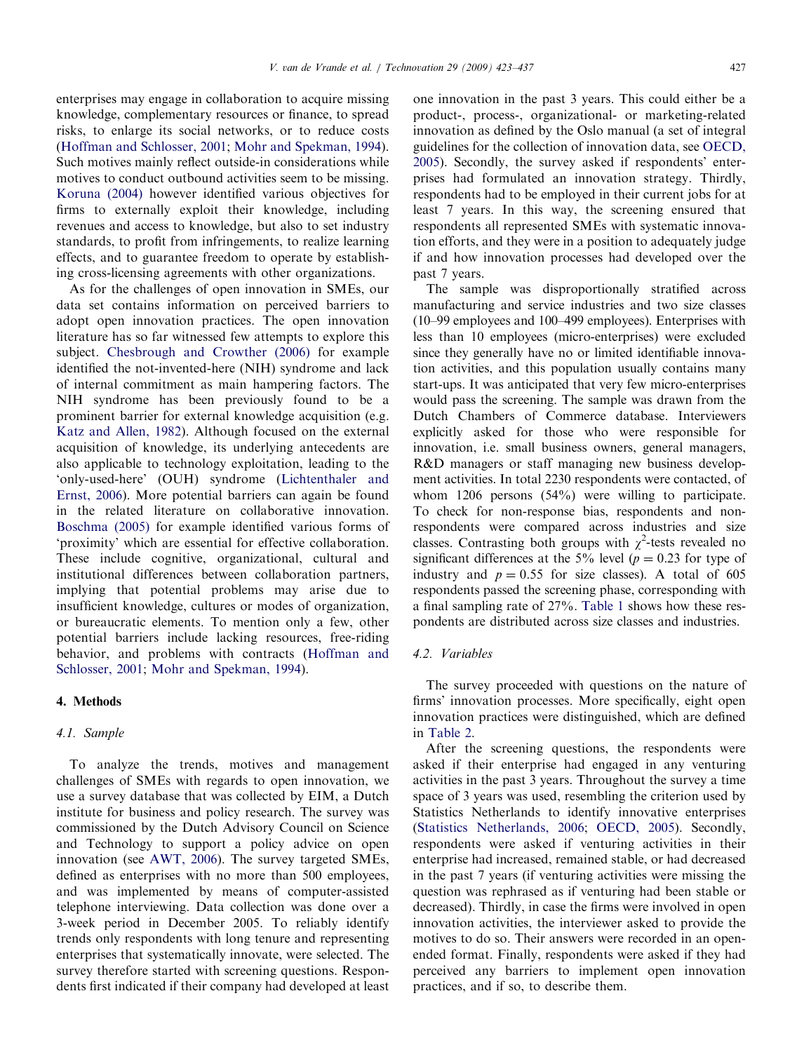enterprises may engage in collaboration to acquire missing knowledge, complementary resources or finance, to spread risks, to enlarge its social networks, or to reduce costs ([Hoffman and Schlosser, 2001](#page-14-0); [Mohr and Spekman, 1994\)](#page-14-0). Such motives mainly reflect outside-in considerations while motives to conduct outbound activities seem to be missing. [Koruna \(2004\)](#page-14-0) however identified various objectives for firms to externally exploit their knowledge, including revenues and access to knowledge, but also to set industry standards, to profit from infringements, to realize learning effects, and to guarantee freedom to operate by establishing cross-licensing agreements with other organizations.

As for the challenges of open innovation in SMEs, our data set contains information on perceived barriers to adopt open innovation practices. The open innovation literature has so far witnessed few attempts to explore this subject. [Chesbrough and Crowther \(2006\)](#page-14-0) for example identified the not-invented-here (NIH) syndrome and lack of internal commitment as main hampering factors. The NIH syndrome has been previously found to be a prominent barrier for external knowledge acquisition (e.g. [Katz and Allen, 1982\)](#page-14-0). Although focused on the external acquisition of knowledge, its underlying antecedents are also applicable to technology exploitation, leading to the 'only-used-here' (OUH) syndrome ([Lichtenthaler and](#page-14-0) [Ernst, 2006](#page-14-0)). More potential barriers can again be found in the related literature on collaborative innovation. [Boschma \(2005\)](#page-14-0) for example identified various forms of 'proximity' which are essential for effective collaboration. These include cognitive, organizational, cultural and institutional differences between collaboration partners, implying that potential problems may arise due to insufficient knowledge, cultures or modes of organization, or bureaucratic elements. To mention only a few, other potential barriers include lacking resources, free-riding behavior, and problems with contracts ([Hoffman and](#page-14-0) [Schlosser, 2001](#page-14-0); [Mohr and Spekman, 1994](#page-14-0)).

#### 4. Methods

# 4.1. Sample

To analyze the trends, motives and management challenges of SMEs with regards to open innovation, we use a survey database that was collected by EIM, a Dutch institute for business and policy research. The survey was commissioned by the Dutch Advisory Council on Science and Technology to support a policy advice on open innovation (see [AWT, 2006\)](#page-14-0). The survey targeted SMEs, defined as enterprises with no more than 500 employees, and was implemented by means of computer-assisted telephone interviewing. Data collection was done over a 3-week period in December 2005. To reliably identify trends only respondents with long tenure and representing enterprises that systematically innovate, were selected. The survey therefore started with screening questions. Respondents first indicated if their company had developed at least one innovation in the past 3 years. This could either be a product-, process-, organizational- or marketing-related innovation as defined by the Oslo manual (a set of integral guidelines for the collection of innovation data, see [OECD,](#page-14-0) [2005](#page-14-0)). Secondly, the survey asked if respondents' enterprises had formulated an innovation strategy. Thirdly, respondents had to be employed in their current jobs for at least 7 years. In this way, the screening ensured that respondents all represented SMEs with systematic innovation efforts, and they were in a position to adequately judge if and how innovation processes had developed over the past 7 years.

The sample was disproportionally stratified across manufacturing and service industries and two size classes (10–99 employees and 100–499 employees). Enterprises with less than 10 employees (micro-enterprises) were excluded since they generally have no or limited identifiable innovation activities, and this population usually contains many start-ups. It was anticipated that very few micro-enterprises would pass the screening. The sample was drawn from the Dutch Chambers of Commerce database. Interviewers explicitly asked for those who were responsible for innovation, i.e. small business owners, general managers, R&D managers or staff managing new business development activities. In total 2230 respondents were contacted, of whom 1206 persons (54%) were willing to participate. To check for non-response bias, respondents and nonrespondents were compared across industries and size classes. Contrasting both groups with  $\chi^2$ -tests revealed no significant differences at the 5% level ( $p = 0.23$  for type of industry and  $p = 0.55$  for size classes). A total of 605 respondents passed the screening phase, corresponding with a final sampling rate of 27%. [Table 1](#page-5-0) shows how these respondents are distributed across size classes and industries.

#### 4.2. Variables

The survey proceeded with questions on the nature of firms' innovation processes. More specifically, eight open innovation practices were distinguished, which are defined in [Table 2.](#page-5-0)

After the screening questions, the respondents were asked if their enterprise had engaged in any venturing activities in the past 3 years. Throughout the survey a time space of 3 years was used, resembling the criterion used by Statistics Netherlands to identify innovative enterprises ([Statistics Netherlands, 2006;](#page-14-0) [OECD, 2005\)](#page-14-0). Secondly, respondents were asked if venturing activities in their enterprise had increased, remained stable, or had decreased in the past 7 years (if venturing activities were missing the question was rephrased as if venturing had been stable or decreased). Thirdly, in case the firms were involved in open innovation activities, the interviewer asked to provide the motives to do so. Their answers were recorded in an openended format. Finally, respondents were asked if they had perceived any barriers to implement open innovation practices, and if so, to describe them.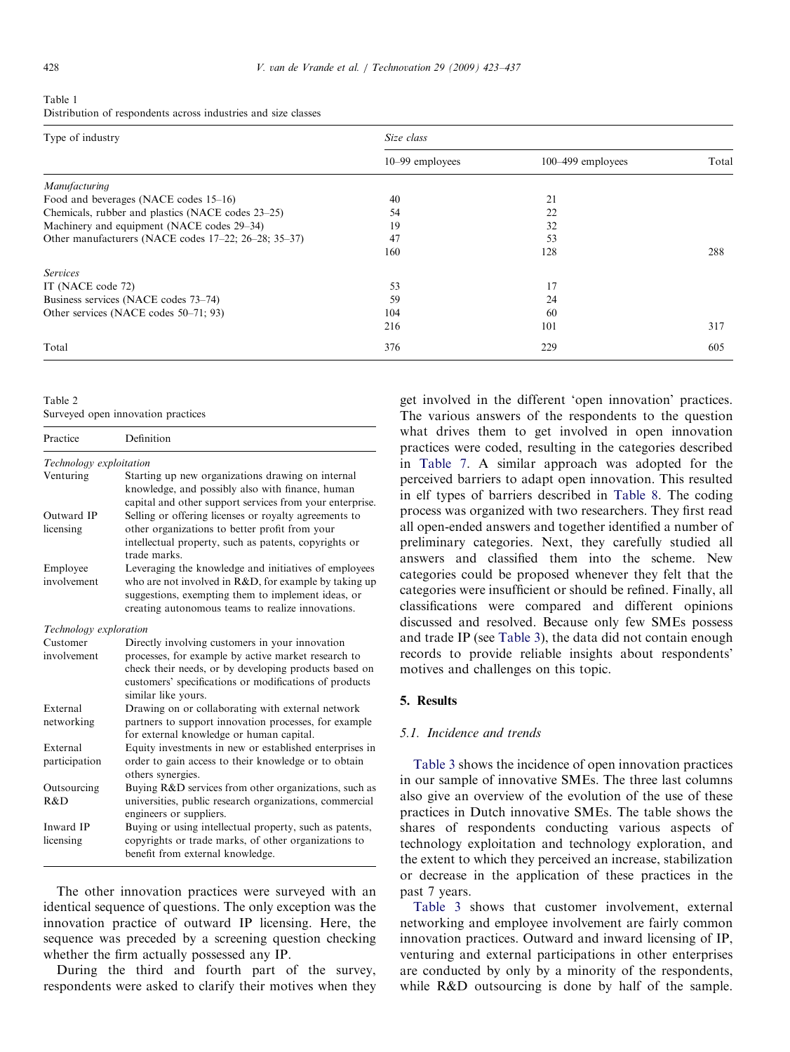<span id="page-5-0"></span>Table 1 Distribution of respondents across industries and size classes

| Type of industry                                     | Size class        |                       |       |  |  |  |  |
|------------------------------------------------------|-------------------|-----------------------|-------|--|--|--|--|
|                                                      | $10-99$ employees | $100 - 499$ employees | Total |  |  |  |  |
| Manufacturing                                        |                   |                       |       |  |  |  |  |
| Food and beverages (NACE codes 15–16)                | 40                | 21                    |       |  |  |  |  |
| Chemicals, rubber and plastics (NACE codes 23–25)    | 54                | 22                    |       |  |  |  |  |
| Machinery and equipment (NACE codes 29–34)           | 19                | 32                    |       |  |  |  |  |
| Other manufacturers (NACE codes 17–22; 26–28; 35–37) | 47                | 53                    |       |  |  |  |  |
|                                                      | 160               | 128                   | 288   |  |  |  |  |
| <b>Services</b>                                      |                   |                       |       |  |  |  |  |
| IT (NACE code 72)                                    | 53                | 17                    |       |  |  |  |  |
| Business services (NACE codes 73–74)                 | 59                | 24                    |       |  |  |  |  |
| Other services (NACE codes 50–71; 93)                | 104               | 60                    |       |  |  |  |  |
|                                                      | 216               | 101                   | 317   |  |  |  |  |
| Total                                                | 376               | 229                   | 605   |  |  |  |  |

| Table 2                            |  |
|------------------------------------|--|
| Surveyed open innovation practices |  |

| Practice                | Definition                                                                                                                                                                                    |
|-------------------------|-----------------------------------------------------------------------------------------------------------------------------------------------------------------------------------------------|
| Technology exploitation |                                                                                                                                                                                               |
| Venturing               | Starting up new organizations drawing on internal<br>knowledge, and possibly also with finance, human<br>capital and other support services from your enterprise.                             |
| Outward IP              | Selling or offering licenses or royalty agreements to                                                                                                                                         |
| licensing               | other organizations to better profit from your<br>intellectual property, such as patents, copyrights or<br>trade marks.                                                                       |
| Employee                | Leveraging the knowledge and initiatives of employees                                                                                                                                         |
| involvement             | who are not involved in R&D, for example by taking up<br>suggestions, exempting them to implement ideas, or<br>creating autonomous teams to realize innovations.                              |
| Technology exploration  |                                                                                                                                                                                               |
| Customer                | Directly involving customers in your innovation                                                                                                                                               |
| involvement             | processes, for example by active market research to<br>check their needs, or by developing products based on<br>customers' specifications or modifications of products<br>similar like yours. |
| External                | Drawing on or collaborating with external network                                                                                                                                             |
| networking              | partners to support innovation processes, for example<br>for external knowledge or human capital.                                                                                             |
| External                | Equity investments in new or established enterprises in                                                                                                                                       |
| participation           | order to gain access to their knowledge or to obtain<br>others synergies.                                                                                                                     |
| Outsourcing             | Buying R&D services from other organizations, such as                                                                                                                                         |
| R&D                     | universities, public research organizations, commercial<br>engineers or suppliers.                                                                                                            |
| Inward IP               | Buying or using intellectual property, such as patents,                                                                                                                                       |
| licensing               | copyrights or trade marks, of other organizations to<br>benefit from external knowledge.                                                                                                      |

The other innovation practices were surveyed with an identical sequence of questions. The only exception was the innovation practice of outward IP licensing. Here, the sequence was preceded by a screening question checking whether the firm actually possessed any IP.

During the third and fourth part of the survey, respondents were asked to clarify their motives when they get involved in the different 'open innovation' practices. The various answers of the respondents to the question what drives them to get involved in open innovation practices were coded, resulting in the categories described in [Table 7.](#page-8-0) A similar approach was adopted for the perceived barriers to adapt open innovation. This resulted in elf types of barriers described in [Table 8](#page-9-0). The coding process was organized with two researchers. They first read all open-ended answers and together identified a number of preliminary categories. Next, they carefully studied all answers and classified them into the scheme. New categories could be proposed whenever they felt that the categories were insufficient or should be refined. Finally, all classifications were compared and different opinions discussed and resolved. Because only few SMEs possess and trade IP (see [Table 3\)](#page-6-0), the data did not contain enough records to provide reliable insights about respondents' motives and challenges on this topic.

# 5. Results

#### 5.1. Incidence and trends

[Table 3](#page-6-0) shows the incidence of open innovation practices in our sample of innovative SMEs. The three last columns also give an overview of the evolution of the use of these practices in Dutch innovative SMEs. The table shows the shares of respondents conducting various aspects of technology exploitation and technology exploration, and the extent to which they perceived an increase, stabilization or decrease in the application of these practices in the past 7 years.

[Table 3](#page-6-0) shows that customer involvement, external networking and employee involvement are fairly common innovation practices. Outward and inward licensing of IP, venturing and external participations in other enterprises are conducted by only by a minority of the respondents, while R&D outsourcing is done by half of the sample.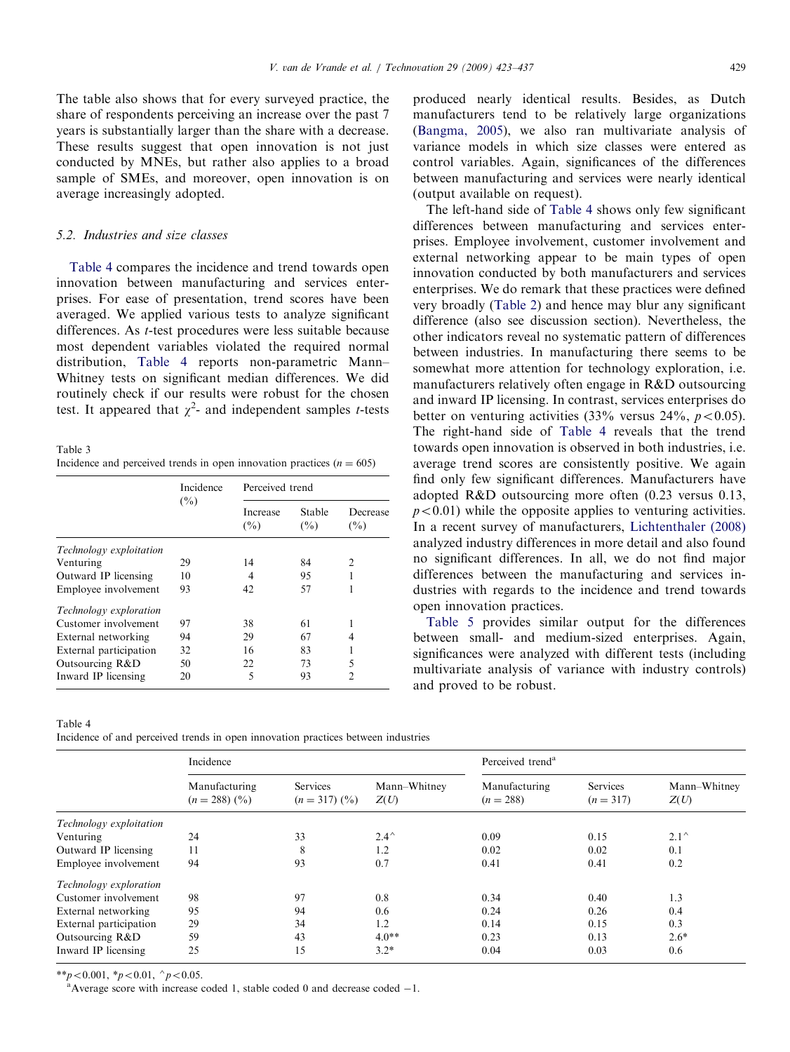<span id="page-6-0"></span>The table also shows that for every surveyed practice, the share of respondents perceiving an increase over the past 7 years is substantially larger than the share with a decrease. These results suggest that open innovation is not just conducted by MNEs, but rather also applies to a broad sample of SMEs, and moreover, open innovation is on average increasingly adopted.

# 5.2. Industries and size classes

Table 4 compares the incidence and trend towards open innovation between manufacturing and services enterprises. For ease of presentation, trend scores have been averaged. We applied various tests to analyze significant differences. As t-test procedures were less suitable because most dependent variables violated the required normal distribution, Table 4 reports non-parametric Mann– Whitney tests on significant median differences. We did routinely check if our results were robust for the chosen test. It appeared that  $\chi^2$ - and independent samples *t*-tests

Table 3 Incidence and perceived trends in open innovation practices  $(n = 605)$ 

|                               | Incidence<br>$($ %) |                    | Perceived trend  |                 |  |  |  |
|-------------------------------|---------------------|--------------------|------------------|-----------------|--|--|--|
|                               |                     | Increase<br>$(\%)$ | Stable<br>$(\%)$ | Decrease<br>(%) |  |  |  |
| Technology exploitation       |                     |                    |                  |                 |  |  |  |
| Venturing                     | 29                  | 14                 | 84               | $\mathcal{L}$   |  |  |  |
| Outward IP licensing          | 10                  | 4                  | 95               |                 |  |  |  |
| Employee involvement          | 93                  | 42                 | 57               |                 |  |  |  |
| <i>Technology exploration</i> |                     |                    |                  |                 |  |  |  |
| Customer involvement          | 97                  | 38                 | 61               |                 |  |  |  |
| External networking           | 94                  | 29                 | 67               | 4               |  |  |  |
| External participation        | 32                  | 16                 | 83               |                 |  |  |  |
| Outsourcing R&D               | 50                  | 22                 | 73               | 5               |  |  |  |
| Inward IP licensing           | 20                  | 5                  | 93               | 2               |  |  |  |

Table 4

Incidence of and perceived trends in open innovation practices between industries

produced nearly identical results. Besides, as Dutch manufacturers tend to be relatively large organizations ([Bangma, 2005\)](#page-14-0), we also ran multivariate analysis of variance models in which size classes were entered as control variables. Again, significances of the differences between manufacturing and services were nearly identical (output available on request).

The left-hand side of Table 4 shows only few significant differences between manufacturing and services enterprises. Employee involvement, customer involvement and external networking appear to be main types of open innovation conducted by both manufacturers and services enterprises. We do remark that these practices were defined very broadly ([Table 2](#page-5-0)) and hence may blur any significant difference (also see discussion section). Nevertheless, the other indicators reveal no systematic pattern of differences between industries. In manufacturing there seems to be somewhat more attention for technology exploration, i.e. manufacturers relatively often engage in R&D outsourcing and inward IP licensing. In contrast, services enterprises do better on venturing activities  $(33\% \text{ versus } 24\%, \text{ } p < 0.05)$ . The right-hand side of Table 4 reveals that the trend towards open innovation is observed in both industries, i.e. average trend scores are consistently positive. We again find only few significant differences. Manufacturers have adopted R&D outsourcing more often (0.23 versus 0.13,  $p<0.01$ ) while the opposite applies to venturing activities. In a recent survey of manufacturers, [Lichtenthaler \(2008\)](#page-14-0) analyzed industry differences in more detail and also found no significant differences. In all, we do not find major differences between the manufacturing and services industries with regards to the incidence and trend towards open innovation practices.

[Table 5](#page-7-0) provides similar output for the differences between small- and medium-sized enterprises. Again, significances were analyzed with different tests (including multivariate analysis of variance with industry controls) and proved to be robust.

|                         | Incidence                                    |                           |                      |                              | Perceived trend <sup>a</sup> |                      |  |
|-------------------------|----------------------------------------------|---------------------------|----------------------|------------------------------|------------------------------|----------------------|--|
|                         | Manufacturing<br>$(n = 288)$ $(\frac{9}{0})$ | Services<br>$(n=317)(\%)$ | Mann-Whitney<br>Z(U) | Manufacturing<br>$(n = 288)$ | Services<br>$(n = 317)$      | Mann-Whitney<br>Z(U) |  |
| Technology exploitation |                                              |                           |                      |                              |                              |                      |  |
| Venturing               | 24                                           | 33                        | $2.4^{\wedge}$       | 0.09                         | 0.15                         | $2.1^{\wedge}$       |  |
| Outward IP licensing    | 11                                           | 8                         | 1.2                  | 0.02                         | 0.02                         | 0.1                  |  |
| Employee involvement    | 94                                           | 93                        | 0.7                  | 0.41                         | 0.41                         | 0.2                  |  |
| Technology exploration  |                                              |                           |                      |                              |                              |                      |  |
| Customer involvement    | 98                                           | 97                        | 0.8                  | 0.34                         | 0.40                         | 1.3                  |  |
| External networking     | 95                                           | 94                        | 0.6                  | 0.24                         | 0.26                         | 0.4                  |  |
| External participation  | 29                                           | 34                        | 1.2                  | 0.14                         | 0.15                         | 0.3                  |  |
| Outsourcing R&D         | 59                                           | 43                        | $4.0**$              | 0.23                         | 0.13                         | $2.6*$               |  |
| Inward IP licensing     | 25                                           | 15                        | $3.2*$               | 0.04                         | 0.03                         | 0.6                  |  |

\*\*p $< 0.001$ , \*p $< 0.01$ , ^p $< 0.05$ .

Average score with increase coded 1, stable coded  $0$  and decrease coded  $-1$ .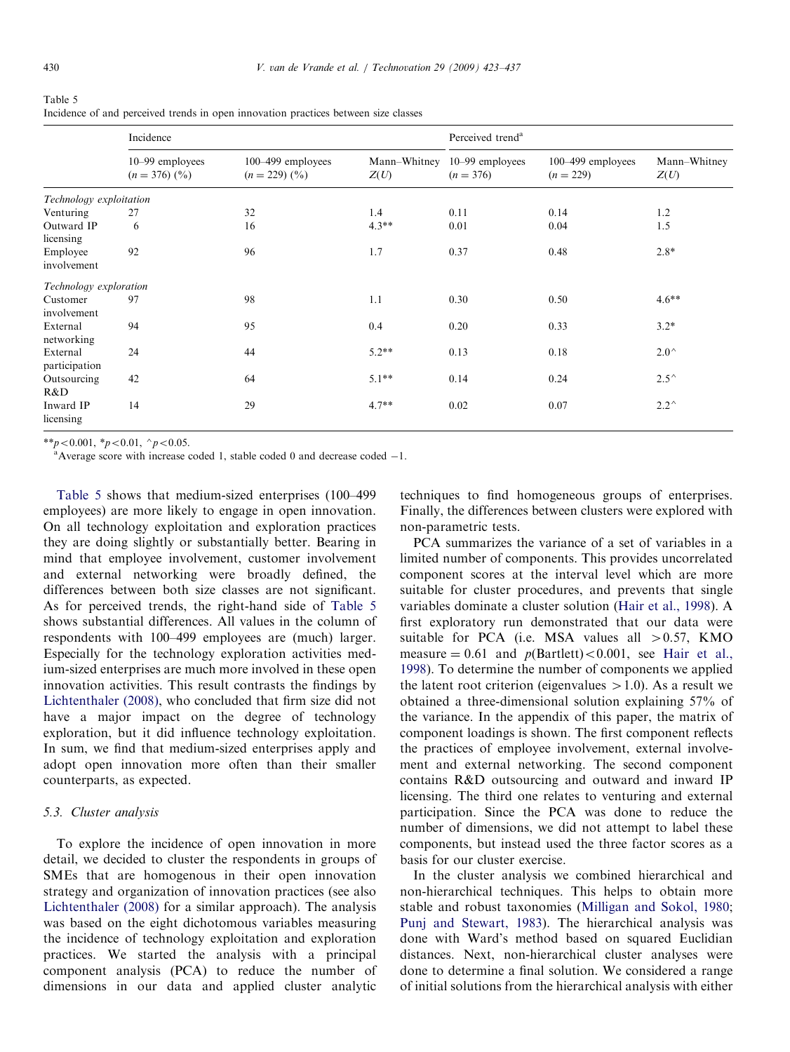<span id="page-7-0"></span>

| Table 5                                                                             |  |  |  |
|-------------------------------------------------------------------------------------|--|--|--|
| Incidence of and perceived trends in open innovation practices between size classes |  |  |  |

|                           | Incidence                                      |                                                   |                      | Perceived trend <sup>a</sup>     |                                      |                      |  |
|---------------------------|------------------------------------------------|---------------------------------------------------|----------------------|----------------------------------|--------------------------------------|----------------------|--|
|                           | 10–99 employees<br>$(n = 376)$ $(\frac{9}{0})$ | $100-499$ employees<br>$(n = 229)$ $\binom{0}{0}$ | Mann-Whitney<br>Z(U) | $10-99$ employees<br>$(n = 376)$ | $100 - 499$ employees<br>$(n = 229)$ | Mann-Whitney<br>Z(U) |  |
| Technology exploitation   |                                                |                                                   |                      |                                  |                                      |                      |  |
| Venturing                 | 27                                             | 32                                                | 1.4                  | 0.11                             | 0.14                                 | 1.2                  |  |
| Outward IP<br>licensing   | 6                                              | 16                                                | $4.3**$              | 0.01                             | 0.04                                 | 1.5                  |  |
| Employee<br>involvement   | 92                                             | 96                                                | 1.7                  | 0.37                             | 0.48                                 | $2.8*$               |  |
| Technology exploration    |                                                |                                                   |                      |                                  |                                      |                      |  |
| Customer<br>involvement   | 97                                             | 98                                                | 1.1                  | 0.30                             | 0.50                                 | $4.6**$              |  |
| External<br>networking    | 94                                             | 95                                                | 0.4                  | 0.20                             | 0.33                                 | $3.2*$               |  |
| External<br>participation | 24                                             | 44                                                | $5.2**$              | 0.13                             | 0.18                                 | $2.0^{\wedge}$       |  |
| Outsourcing<br>R&D        | 42                                             | 64                                                | $5.1**$              | 0.14                             | 0.24                                 | $2.5^{\wedge}$       |  |
| Inward IP<br>licensing    | 14                                             | 29                                                | $4.7**$              | 0.02                             | 0.07                                 | $2.2^{\wedge}$       |  |

\*\*p<0.001, \*p < 0.01,  $\gamma$  +  $p$  < 0.05.

Average score with increase coded 1, stable coded 0 and decrease coded  $-1$ .

Table 5 shows that medium-sized enterprises (100–499 employees) are more likely to engage in open innovation. On all technology exploitation and exploration practices they are doing slightly or substantially better. Bearing in mind that employee involvement, customer involvement and external networking were broadly defined, the differences between both size classes are not significant. As for perceived trends, the right-hand side of Table 5 shows substantial differences. All values in the column of respondents with 100–499 employees are (much) larger. Especially for the technology exploration activities medium-sized enterprises are much more involved in these open innovation activities. This result contrasts the findings by [Lichtenthaler \(2008\),](#page-14-0) who concluded that firm size did not have a major impact on the degree of technology exploration, but it did influence technology exploitation. In sum, we find that medium-sized enterprises apply and adopt open innovation more often than their smaller counterparts, as expected.

## 5.3. Cluster analysis

To explore the incidence of open innovation in more detail, we decided to cluster the respondents in groups of SMEs that are homogenous in their open innovation strategy and organization of innovation practices (see also [Lichtenthaler \(2008\)](#page-14-0) for a similar approach). The analysis was based on the eight dichotomous variables measuring the incidence of technology exploitation and exploration practices. We started the analysis with a principal component analysis (PCA) to reduce the number of dimensions in our data and applied cluster analytic techniques to find homogeneous groups of enterprises. Finally, the differences between clusters were explored with non-parametric tests.

PCA summarizes the variance of a set of variables in a limited number of components. This provides uncorrelated component scores at the interval level which are more suitable for cluster procedures, and prevents that single variables dominate a cluster solution [\(Hair et al., 1998\)](#page-14-0). A first exploratory run demonstrated that our data were suitable for PCA (i.e. MSA values all  $>0.57$ , KMO measure  $= 0.61$  and  $p(Bartlett) < 0.001$ , see [Hair et al.,](#page-14-0) [1998\)](#page-14-0). To determine the number of components we applied the latent root criterion (eigenvalues  $>1.0$ ). As a result we obtained a three-dimensional solution explaining 57% of the variance. In the appendix of this paper, the matrix of component loadings is shown. The first component reflects the practices of employee involvement, external involvement and external networking. The second component contains R&D outsourcing and outward and inward IP licensing. The third one relates to venturing and external participation. Since the PCA was done to reduce the number of dimensions, we did not attempt to label these components, but instead used the three factor scores as a basis for our cluster exercise.

In the cluster analysis we combined hierarchical and non-hierarchical techniques. This helps to obtain more stable and robust taxonomies [\(Milligan and Sokol, 1980](#page-14-0); [Punj and Stewart, 1983\)](#page-14-0). The hierarchical analysis was done with Ward's method based on squared Euclidian distances. Next, non-hierarchical cluster analyses were done to determine a final solution. We considered a range of initial solutions from the hierarchical analysis with either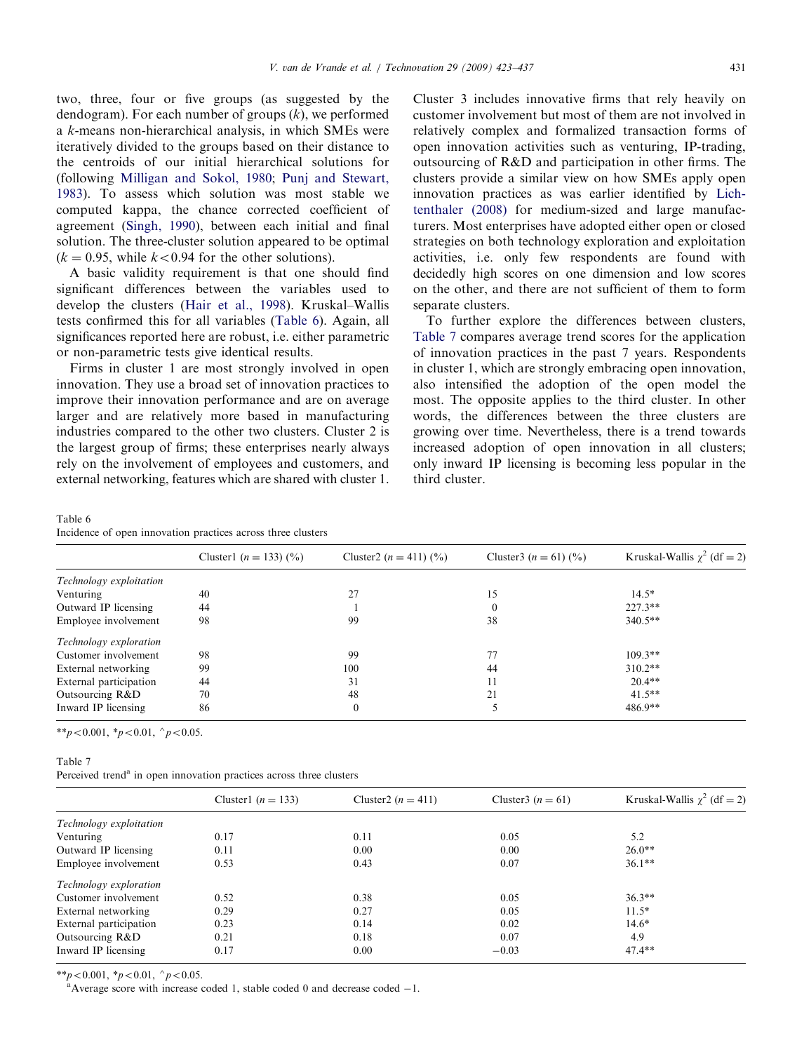<span id="page-8-0"></span>two, three, four or five groups (as suggested by the dendogram). For each number of groups  $(k)$ , we performed a k-means non-hierarchical analysis, in which SMEs were iteratively divided to the groups based on their distance to the centroids of our initial hierarchical solutions for (following [Milligan and Sokol, 1980](#page-14-0); [Punj and Stewart,](#page-14-0) [1983](#page-14-0)). To assess which solution was most stable we computed kappa, the chance corrected coefficient of agreement [\(Singh, 1990](#page-14-0)), between each initial and final solution. The three-cluster solution appeared to be optimal  $(k = 0.95$ , while  $k < 0.94$  for the other solutions).

A basic validity requirement is that one should find significant differences between the variables used to develop the clusters ([Hair et al., 1998\)](#page-14-0). Kruskal–Wallis tests confirmed this for all variables (Table 6). Again, all significances reported here are robust, i.e. either parametric or non-parametric tests give identical results.

Firms in cluster 1 are most strongly involved in open innovation. They use a broad set of innovation practices to improve their innovation performance and are on average larger and are relatively more based in manufacturing industries compared to the other two clusters. Cluster 2 is the largest group of firms; these enterprises nearly always rely on the involvement of employees and customers, and external networking, features which are shared with cluster 1. Cluster 3 includes innovative firms that rely heavily on customer involvement but most of them are not involved in relatively complex and formalized transaction forms of open innovation activities such as venturing, IP-trading, outsourcing of R&D and participation in other firms. The clusters provide a similar view on how SMEs apply open innovation practices as was earlier identified by [Lich](#page-14-0)[tenthaler \(2008\)](#page-14-0) for medium-sized and large manufacturers. Most enterprises have adopted either open or closed strategies on both technology exploration and exploitation activities, i.e. only few respondents are found with decidedly high scores on one dimension and low scores on the other, and there are not sufficient of them to form separate clusters.

To further explore the differences between clusters, Table 7 compares average trend scores for the application of innovation practices in the past 7 years. Respondents in cluster 1, which are strongly embracing open innovation, also intensified the adoption of the open model the most. The opposite applies to the third cluster. In other words, the differences between the three clusters are growing over time. Nevertheless, there is a trend towards increased adoption of open innovation in all clusters; only inward IP licensing is becoming less popular in the third cluster.

#### Table 6

Incidence of open innovation practices across three clusters

|                         | Cluster1 $(n = 133)$ $(\frac{9}{0})$ | Cluster2 $(n = 411)$ $(\%)$ | Cluster 3 $(n = 61)$ (%) | Kruskal-Wallis $\chi^2$ (df = 2) |
|-------------------------|--------------------------------------|-----------------------------|--------------------------|----------------------------------|
| Technology exploitation |                                      |                             |                          |                                  |
| Venturing               | 40                                   | 27                          | 15                       | $14.5*$                          |
| Outward IP licensing    | 44                                   |                             |                          | $227.3**$                        |
| Employee involvement    | 98                                   | 99                          | 38                       | $340.5**$                        |
| Technology exploration  |                                      |                             |                          |                                  |
| Customer involvement    | 98                                   | 99                          |                          | $109.3**$                        |
| External networking     | 99                                   | 100                         | 44                       | $310.2**$                        |
| External participation  | 44                                   | 31                          | 11                       | $20.4**$                         |
| Outsourcing R&D         | 70                                   | 48                          | 21                       | $41.5**$                         |
| Inward IP licensing     | 86                                   | $\boldsymbol{0}$            |                          | $486.9**$                        |

\*\*p<0.001, \*p<0.01,  $\gamma$ p<0.05.

#### Table 7

Perceived trend<sup>a</sup> in open innovation practices across three clusters

|                         | Cluster1 $(n = 133)$ | Cluster2 $(n = 411)$ | Cluster 3 $(n = 61)$ | Kruskal-Wallis $\chi^2$ (df = 2) |
|-------------------------|----------------------|----------------------|----------------------|----------------------------------|
| Technology exploitation |                      |                      |                      |                                  |
| Venturing               | 0.17                 | 0.11                 | 0.05                 | 5.2                              |
| Outward IP licensing    | 0.11                 | 0.00                 | 0.00                 | $26.0**$                         |
| Employee involvement    | 0.53                 | 0.43                 | 0.07                 | $36.1**$                         |
| Technology exploration  |                      |                      |                      |                                  |
| Customer involvement    | 0.52                 | 0.38                 | 0.05                 | $36.3**$                         |
| External networking     | 0.29                 | 0.27                 | 0.05                 | $11.5*$                          |
| External participation  | 0.23                 | 0.14                 | 0.02                 | $14.6*$                          |
| Outsourcing R&D         | 0.21                 | 0.18                 | 0.07                 | 4.9                              |
| Inward IP licensing     | 0.17                 | 0.00                 | $-0.03$              | $47.4**$                         |
|                         |                      |                      |                      |                                  |

\*\*p $< 0.001$ , \*p $< 0.01$ , ^p $< 0.05$ .

Average score with increase coded 1, stable coded  $0$  and decrease coded  $-1$ .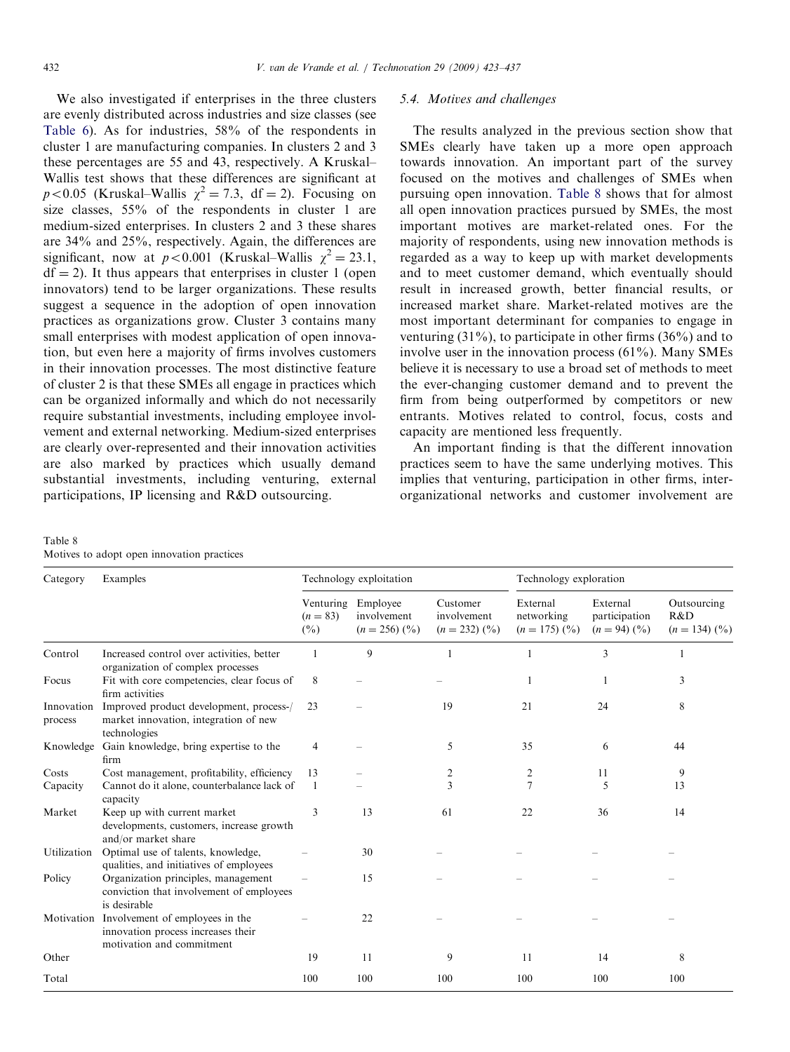<span id="page-9-0"></span>We also investigated if enterprises in the three clusters are evenly distributed across industries and size classes (see [Table 6](#page-8-0)). As for industries, 58% of the respondents in cluster 1 are manufacturing companies. In clusters 2 and 3 these percentages are 55 and 43, respectively. A Kruskal– Wallis test shows that these differences are significant at  $p < 0.05$  (Kruskal–Wallis  $\chi^2 = 7.3$ , df = 2). Focusing on size classes, 55% of the respondents in cluster 1 are medium-sized enterprises. In clusters 2 and 3 these shares are 34% and 25%, respectively. Again, the differences are significant, now at  $p < 0.001$  (Kruskal–Wallis  $\chi^2 = 23.1$ ,  $df = 2$ ). It thus appears that enterprises in cluster 1 (open innovators) tend to be larger organizations. These results suggest a sequence in the adoption of open innovation practices as organizations grow. Cluster 3 contains many small enterprises with modest application of open innovation, but even here a majority of firms involves customers in their innovation processes. The most distinctive feature of cluster 2 is that these SMEs all engage in practices which can be organized informally and which do not necessarily require substantial investments, including employee involvement and external networking. Medium-sized enterprises are clearly over-represented and their innovation activities are also marked by practices which usually demand substantial investments, including venturing, external participations, IP licensing and R&D outsourcing.

# 5.4. Motives and challenges

The results analyzed in the previous section show that SMEs clearly have taken up a more open approach towards innovation. An important part of the survey focused on the motives and challenges of SMEs when pursuing open innovation. Table 8 shows that for almost all open innovation practices pursued by SMEs, the most important motives are market-related ones. For the majority of respondents, using new innovation methods is regarded as a way to keep up with market developments and to meet customer demand, which eventually should result in increased growth, better financial results, or increased market share. Market-related motives are the most important determinant for companies to engage in venturing  $(31\%)$ , to participate in other firms  $(36\%)$  and to involve user in the innovation process  $(61\%)$ . Many SMEs believe it is necessary to use a broad set of methods to meet the ever-changing customer demand and to prevent the firm from being outperformed by competitors or new entrants. Motives related to control, focus, costs and capacity are mentioned less frequently.

An important finding is that the different innovation practices seem to have the same underlying motives. This implies that venturing, participation in other firms, interorganizational networks and customer involvement are

#### Table 8 Motives to adopt open innovation practices

| Category              | Examples                                                                                           | Technology exploitation |                                                                 |                                                       | Technology exploration                               |                                                         |                                                  |
|-----------------------|----------------------------------------------------------------------------------------------------|-------------------------|-----------------------------------------------------------------|-------------------------------------------------------|------------------------------------------------------|---------------------------------------------------------|--------------------------------------------------|
|                       |                                                                                                    | $(n = 83)$<br>$(\%)$    | Venturing Employee<br>involvement<br>$(n = 256)$ $\binom{0}{0}$ | Customer<br>involvement<br>$(n = 232)$ $\binom{0}{0}$ | External<br>networking<br>$(n = 175)$ $\binom{0}{0}$ | External<br>participation<br>$(n = 94)$ $(\frac{9}{0})$ | Outsourcing<br>R&D<br>$(n = 134)$ $\binom{0}{0}$ |
| Control               | Increased control over activities, better<br>organization of complex processes                     |                         | 9                                                               |                                                       |                                                      | 3                                                       |                                                  |
| Focus                 | Fit with core competencies, clear focus of<br>firm activities                                      | 8                       |                                                                 |                                                       |                                                      |                                                         | 3                                                |
| Innovation<br>process | Improved product development, process-/<br>market innovation, integration of new<br>technologies   | 23                      |                                                                 | 19                                                    | 21                                                   | 24                                                      | 8                                                |
| Knowledge             | Gain knowledge, bring expertise to the<br>firm                                                     | 4                       |                                                                 | 5                                                     | 35                                                   | 6                                                       | 44                                               |
| Costs                 | Cost management, profitability, efficiency                                                         | 13                      |                                                                 | 2                                                     | $\overline{c}$                                       | 11                                                      | 9                                                |
| Capacity              | Cannot do it alone, counterbalance lack of<br>capacity                                             |                         |                                                                 | 3                                                     | $\overline{7}$                                       | 5                                                       | 13                                               |
| Market                | Keep up with current market<br>developments, customers, increase growth<br>and/or market share     | 3                       | 13                                                              | 61                                                    | 22                                                   | 36                                                      | 14                                               |
| Utilization           | Optimal use of talents, knowledge,<br>qualities, and initiatives of employees                      |                         | 30                                                              |                                                       |                                                      |                                                         |                                                  |
| Policy                | Organization principles, management<br>conviction that involvement of employees<br>is desirable    |                         | 15                                                              |                                                       |                                                      |                                                         |                                                  |
| Motivation            | Involvement of employees in the<br>innovation process increases their<br>motivation and commitment |                         | 22                                                              |                                                       |                                                      |                                                         |                                                  |
| Other                 |                                                                                                    | 19                      | 11                                                              | 9                                                     | 11                                                   | 14                                                      | 8                                                |
| Total                 |                                                                                                    | 100                     | 100                                                             | 100                                                   | 100                                                  | 100                                                     | 100                                              |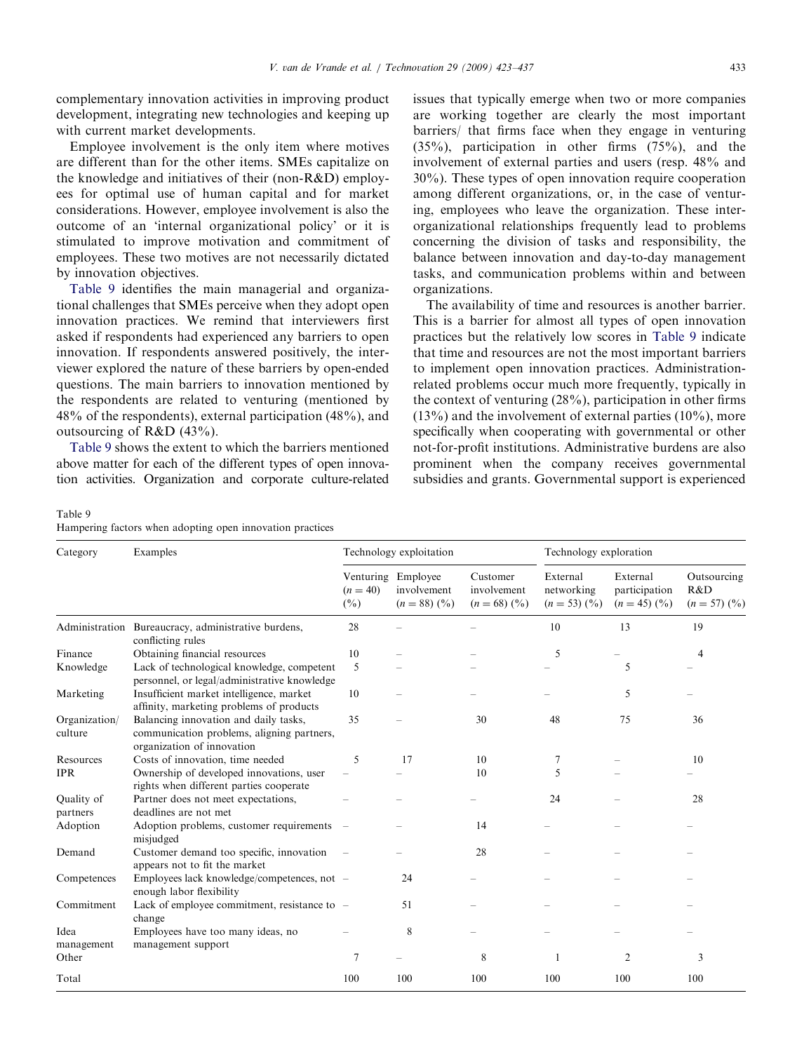<span id="page-10-0"></span>complementary innovation activities in improving product development, integrating new technologies and keeping up with current market developments.

Employee involvement is the only item where motives are different than for the other items. SMEs capitalize on the knowledge and initiatives of their (non-R&D) employees for optimal use of human capital and for market considerations. However, employee involvement is also the outcome of an 'internal organizational policy' or it is stimulated to improve motivation and commitment of employees. These two motives are not necessarily dictated by innovation objectives.

Table 9 identifies the main managerial and organizational challenges that SMEs perceive when they adopt open innovation practices. We remind that interviewers first asked if respondents had experienced any barriers to open innovation. If respondents answered positively, the interviewer explored the nature of these barriers by open-ended questions. The main barriers to innovation mentioned by the respondents are related to venturing (mentioned by 48% of the respondents), external participation (48%), and outsourcing of R&D (43%).

Table 9 shows the extent to which the barriers mentioned above matter for each of the different types of open innovation activities. Organization and corporate culture-related issues that typically emerge when two or more companies are working together are clearly the most important barriers/ that firms face when they engage in venturing (35%), participation in other firms (75%), and the involvement of external parties and users (resp. 48% and 30%). These types of open innovation require cooperation among different organizations, or, in the case of venturing, employees who leave the organization. These interorganizational relationships frequently lead to problems concerning the division of tasks and responsibility, the balance between innovation and day-to-day management tasks, and communication problems within and between organizations.

The availability of time and resources is another barrier. This is a barrier for almost all types of open innovation practices but the relatively low scores in Table 9 indicate that time and resources are not the most important barriers to implement open innovation practices. Administrationrelated problems occur much more frequently, typically in the context of venturing (28%), participation in other firms  $(13\%)$  and the involvement of external parties  $(10\%)$ , more specifically when cooperating with governmental or other not-for-profit institutions. Administrative burdens are also prominent when the company receives governmental subsidies and grants. Governmental support is experienced

Table 9 Hampering factors when adopting open innovation practices

| Category                 | Examples                                                                                                          | Technology exploitation       |                                                                 |                                           | Technology exploration                              |                                                         |                                                  |
|--------------------------|-------------------------------------------------------------------------------------------------------------------|-------------------------------|-----------------------------------------------------------------|-------------------------------------------|-----------------------------------------------------|---------------------------------------------------------|--------------------------------------------------|
|                          |                                                                                                                   | $(n = 40)$<br>$(\frac{0}{0})$ | Venturing Employee<br>involvement<br>$(n = 88)$ $(\frac{9}{0})$ | Customer<br>involvement<br>$(n = 68)$ (%) | External<br>networking<br>$(n = 53)$ $\binom{0}{0}$ | External<br>participation<br>$(n = 45)$ $(\frac{9}{0})$ | Outsourcing<br>R&D<br>$(n = 57)$ $(\frac{9}{0})$ |
|                          | Administration Bureaucracy, administrative burdens,<br>conflicting rules                                          | 28                            |                                                                 |                                           | 10                                                  | 13                                                      | 19                                               |
| Finance                  | Obtaining financial resources                                                                                     | 10                            |                                                                 |                                           | 5                                                   |                                                         | 4                                                |
| Knowledge                | Lack of technological knowledge, competent<br>personnel, or legal/administrative knowledge                        | 5                             |                                                                 |                                           |                                                     | 5                                                       |                                                  |
| Marketing                | Insufficient market intelligence, market<br>affinity, marketing problems of products                              | 10                            |                                                                 |                                           |                                                     | 5                                                       |                                                  |
| Organization/<br>culture | Balancing innovation and daily tasks,<br>communication problems, aligning partners,<br>organization of innovation | 35                            |                                                                 | 30                                        | 48                                                  | 75                                                      | 36                                               |
| Resources                | Costs of innovation, time needed                                                                                  | 5                             | 17                                                              | 10                                        | 7                                                   |                                                         | 10                                               |
| <b>IPR</b>               | Ownership of developed innovations, user<br>rights when different parties cooperate                               |                               |                                                                 | 10                                        | 5                                                   |                                                         |                                                  |
| Quality of<br>partners   | Partner does not meet expectations,<br>deadlines are not met                                                      |                               |                                                                 |                                           | 24                                                  |                                                         | 28                                               |
| Adoption                 | Adoption problems, customer requirements<br>misjudged                                                             |                               |                                                                 | 14                                        |                                                     |                                                         |                                                  |
| Demand                   | Customer demand too specific, innovation<br>appears not to fit the market                                         |                               |                                                                 | 28                                        |                                                     |                                                         |                                                  |
| Competences              | Employees lack knowledge/competences, not -<br>enough labor flexibility                                           |                               | 24                                                              |                                           |                                                     |                                                         |                                                  |
| Commitment               | Lack of employee commitment, resistance to -<br>change                                                            |                               | 51                                                              |                                           |                                                     |                                                         |                                                  |
| Idea                     | Employees have too many ideas, no                                                                                 |                               | 8                                                               |                                           |                                                     |                                                         |                                                  |
| management<br>Other      | management support                                                                                                | 7                             |                                                                 | 8                                         | $\mathbf{1}$                                        | $\overline{2}$                                          | 3                                                |
| Total                    |                                                                                                                   | 100                           | 100                                                             | 100                                       | 100                                                 | 100                                                     | 100                                              |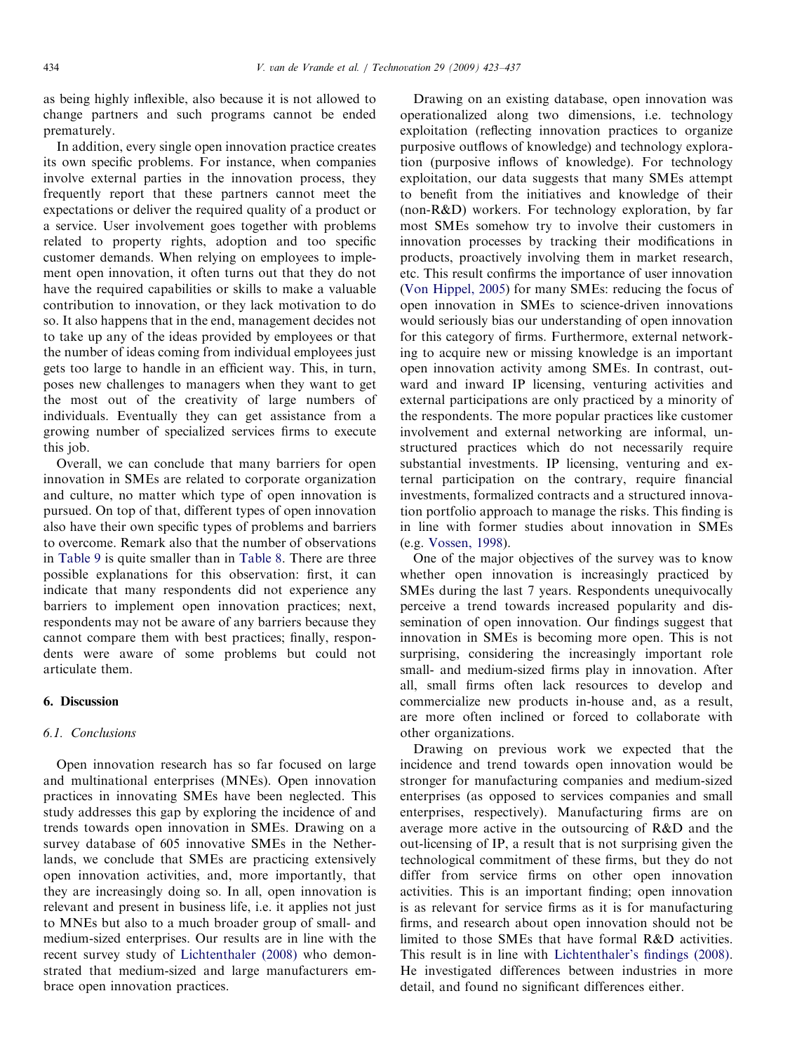as being highly inflexible, also because it is not allowed to change partners and such programs cannot be ended prematurely.

In addition, every single open innovation practice creates its own specific problems. For instance, when companies involve external parties in the innovation process, they frequently report that these partners cannot meet the expectations or deliver the required quality of a product or a service. User involvement goes together with problems related to property rights, adoption and too specific customer demands. When relying on employees to implement open innovation, it often turns out that they do not have the required capabilities or skills to make a valuable contribution to innovation, or they lack motivation to do so. It also happens that in the end, management decides not to take up any of the ideas provided by employees or that the number of ideas coming from individual employees just gets too large to handle in an efficient way. This, in turn, poses new challenges to managers when they want to get the most out of the creativity of large numbers of individuals. Eventually they can get assistance from a growing number of specialized services firms to execute this job.

Overall, we can conclude that many barriers for open innovation in SMEs are related to corporate organization and culture, no matter which type of open innovation is pursued. On top of that, different types of open innovation also have their own specific types of problems and barriers to overcome. Remark also that the number of observations in [Table 9](#page-10-0) is quite smaller than in [Table 8.](#page-9-0) There are three possible explanations for this observation: first, it can indicate that many respondents did not experience any barriers to implement open innovation practices; next, respondents may not be aware of any barriers because they cannot compare them with best practices; finally, respondents were aware of some problems but could not articulate them.

# 6. Discussion

#### 6.1. Conclusions

Open innovation research has so far focused on large and multinational enterprises (MNEs). Open innovation practices in innovating SMEs have been neglected. This study addresses this gap by exploring the incidence of and trends towards open innovation in SMEs. Drawing on a survey database of 605 innovative SMEs in the Netherlands, we conclude that SMEs are practicing extensively open innovation activities, and, more importantly, that they are increasingly doing so. In all, open innovation is relevant and present in business life, i.e. it applies not just to MNEs but also to a much broader group of small- and medium-sized enterprises. Our results are in line with the recent survey study of [Lichtenthaler \(2008\)](#page-14-0) who demonstrated that medium-sized and large manufacturers embrace open innovation practices.

Drawing on an existing database, open innovation was operationalized along two dimensions, i.e. technology exploitation (reflecting innovation practices to organize purposive outflows of knowledge) and technology exploration (purposive inflows of knowledge). For technology exploitation, our data suggests that many SMEs attempt to benefit from the initiatives and knowledge of their (non-R&D) workers. For technology exploration, by far most SMEs somehow try to involve their customers in innovation processes by tracking their modifications in products, proactively involving them in market research, etc. This result confirms the importance of user innovation [\(Von Hippel, 2005](#page-14-0)) for many SMEs: reducing the focus of open innovation in SMEs to science-driven innovations would seriously bias our understanding of open innovation for this category of firms. Furthermore, external networking to acquire new or missing knowledge is an important open innovation activity among SMEs. In contrast, outward and inward IP licensing, venturing activities and external participations are only practiced by a minority of the respondents. The more popular practices like customer involvement and external networking are informal, unstructured practices which do not necessarily require substantial investments. IP licensing, venturing and external participation on the contrary, require financial investments, formalized contracts and a structured innovation portfolio approach to manage the risks. This finding is in line with former studies about innovation in SMEs (e.g. [Vossen, 1998](#page-14-0)).

One of the major objectives of the survey was to know whether open innovation is increasingly practiced by SMEs during the last 7 years. Respondents unequivocally perceive a trend towards increased popularity and dissemination of open innovation. Our findings suggest that innovation in SMEs is becoming more open. This is not surprising, considering the increasingly important role small- and medium-sized firms play in innovation. After all, small firms often lack resources to develop and commercialize new products in-house and, as a result, are more often inclined or forced to collaborate with other organizations.

Drawing on previous work we expected that the incidence and trend towards open innovation would be stronger for manufacturing companies and medium-sized enterprises (as opposed to services companies and small enterprises, respectively). Manufacturing firms are on average more active in the outsourcing of R&D and the out-licensing of IP, a result that is not surprising given the technological commitment of these firms, but they do not differ from service firms on other open innovation activities. This is an important finding; open innovation is as relevant for service firms as it is for manufacturing firms, and research about open innovation should not be limited to those SMEs that have formal R&D activities. This result is in line with [Lichtenthaler's findings \(2008\)](#page-14-0). He investigated differences between industries in more detail, and found no significant differences either.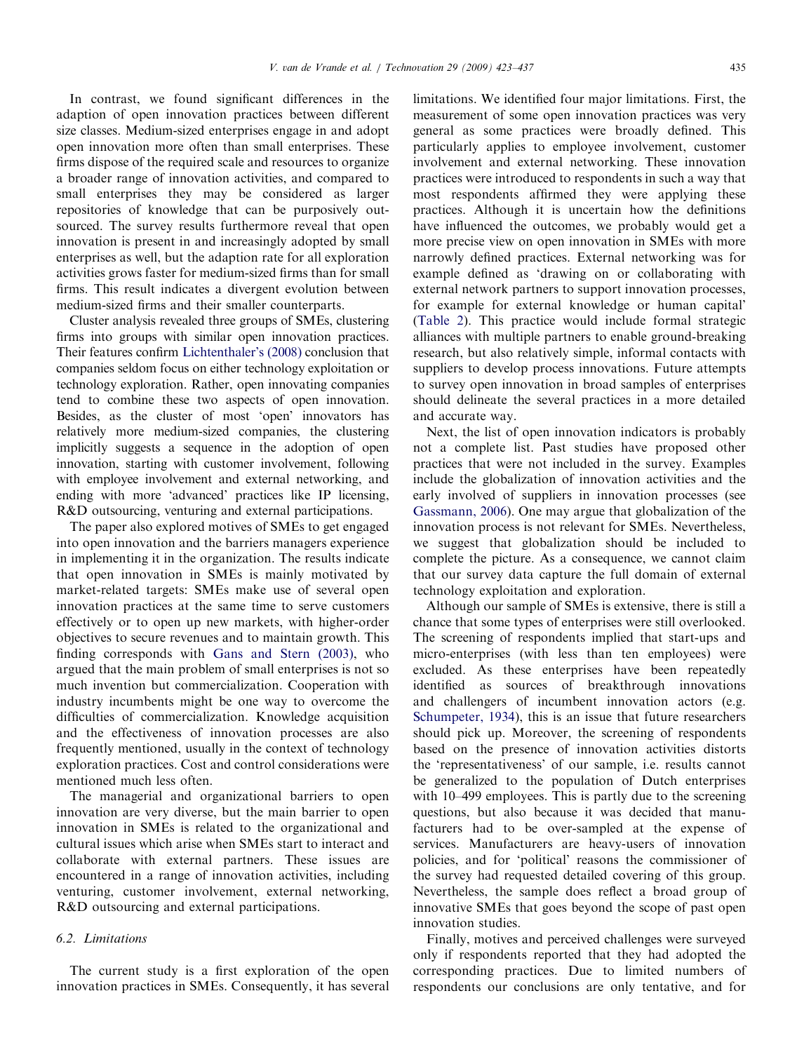In contrast, we found significant differences in the adaption of open innovation practices between different size classes. Medium-sized enterprises engage in and adopt open innovation more often than small enterprises. These firms dispose of the required scale and resources to organize a broader range of innovation activities, and compared to small enterprises they may be considered as larger repositories of knowledge that can be purposively outsourced. The survey results furthermore reveal that open innovation is present in and increasingly adopted by small enterprises as well, but the adaption rate for all exploration activities grows faster for medium-sized firms than for small firms. This result indicates a divergent evolution between medium-sized firms and their smaller counterparts.

Cluster analysis revealed three groups of SMEs, clustering firms into groups with similar open innovation practices. Their features confirm [Lichtenthaler's \(2008\)](#page-14-0) conclusion that companies seldom focus on either technology exploitation or technology exploration. Rather, open innovating companies tend to combine these two aspects of open innovation. Besides, as the cluster of most 'open' innovators has relatively more medium-sized companies, the clustering implicitly suggests a sequence in the adoption of open innovation, starting with customer involvement, following with employee involvement and external networking, and ending with more 'advanced' practices like IP licensing, R&D outsourcing, venturing and external participations.

The paper also explored motives of SMEs to get engaged into open innovation and the barriers managers experience in implementing it in the organization. The results indicate that open innovation in SMEs is mainly motivated by market-related targets: SMEs make use of several open innovation practices at the same time to serve customers effectively or to open up new markets, with higher-order objectives to secure revenues and to maintain growth. This finding corresponds with [Gans and Stern \(2003\),](#page-14-0) who argued that the main problem of small enterprises is not so much invention but commercialization. Cooperation with industry incumbents might be one way to overcome the difficulties of commercialization. Knowledge acquisition and the effectiveness of innovation processes are also frequently mentioned, usually in the context of technology exploration practices. Cost and control considerations were mentioned much less often.

The managerial and organizational barriers to open innovation are very diverse, but the main barrier to open innovation in SMEs is related to the organizational and cultural issues which arise when SMEs start to interact and collaborate with external partners. These issues are encountered in a range of innovation activities, including venturing, customer involvement, external networking, R&D outsourcing and external participations.

# 6.2. Limitations

The current study is a first exploration of the open innovation practices in SMEs. Consequently, it has several limitations. We identified four major limitations. First, the measurement of some open innovation practices was very general as some practices were broadly defined. This particularly applies to employee involvement, customer involvement and external networking. These innovation practices were introduced to respondents in such a way that most respondents affirmed they were applying these practices. Although it is uncertain how the definitions have influenced the outcomes, we probably would get a more precise view on open innovation in SMEs with more narrowly defined practices. External networking was for example defined as 'drawing on or collaborating with external network partners to support innovation processes, for example for external knowledge or human capital' ([Table 2\)](#page-5-0). This practice would include formal strategic alliances with multiple partners to enable ground-breaking research, but also relatively simple, informal contacts with suppliers to develop process innovations. Future attempts to survey open innovation in broad samples of enterprises should delineate the several practices in a more detailed and accurate way.

Next, the list of open innovation indicators is probably not a complete list. Past studies have proposed other practices that were not included in the survey. Examples include the globalization of innovation activities and the early involved of suppliers in innovation processes (see [Gassmann, 2006](#page-14-0)). One may argue that globalization of the innovation process is not relevant for SMEs. Nevertheless, we suggest that globalization should be included to complete the picture. As a consequence, we cannot claim that our survey data capture the full domain of external technology exploitation and exploration.

Although our sample of SMEs is extensive, there is still a chance that some types of enterprises were still overlooked. The screening of respondents implied that start-ups and micro-enterprises (with less than ten employees) were excluded. As these enterprises have been repeatedly identified as sources of breakthrough innovations and challengers of incumbent innovation actors (e.g. [Schumpeter, 1934](#page-14-0)), this is an issue that future researchers should pick up. Moreover, the screening of respondents based on the presence of innovation activities distorts the 'representativeness' of our sample, i.e. results cannot be generalized to the population of Dutch enterprises with 10–499 employees. This is partly due to the screening questions, but also because it was decided that manufacturers had to be over-sampled at the expense of services. Manufacturers are heavy-users of innovation policies, and for 'political' reasons the commissioner of the survey had requested detailed covering of this group. Nevertheless, the sample does reflect a broad group of innovative SMEs that goes beyond the scope of past open innovation studies.

Finally, motives and perceived challenges were surveyed only if respondents reported that they had adopted the corresponding practices. Due to limited numbers of respondents our conclusions are only tentative, and for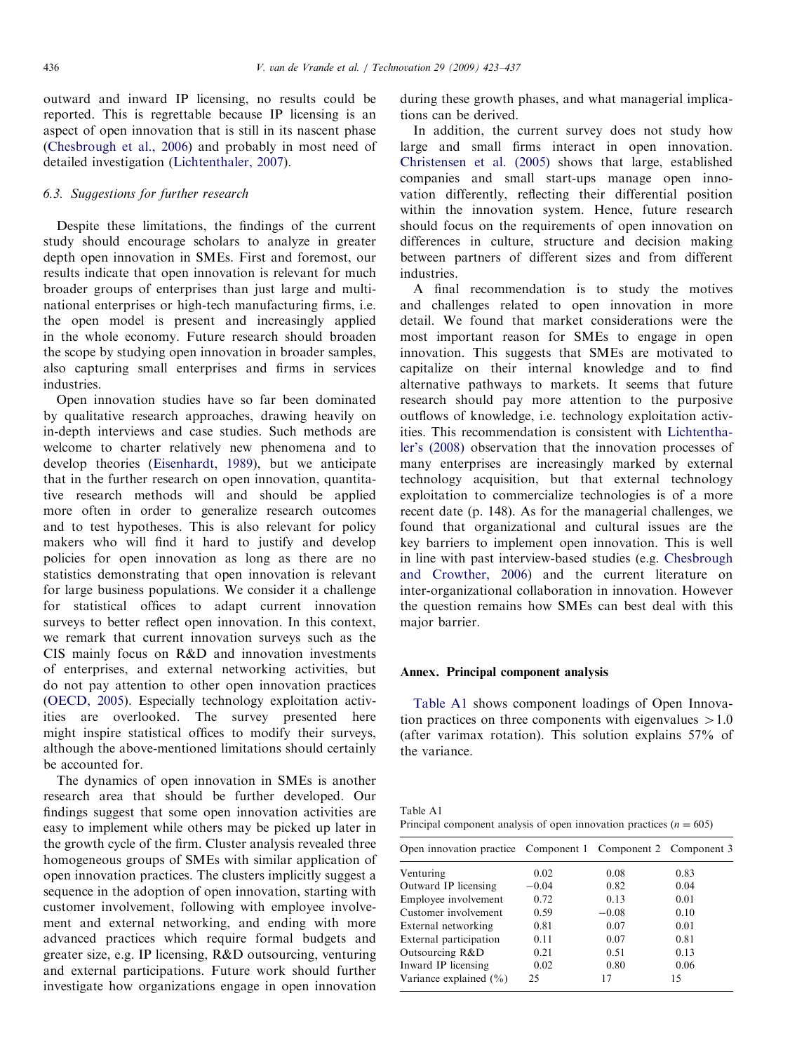outward and inward IP licensing, no results could be reported. This is regrettable because IP licensing is an aspect of open innovation that is still in its nascent phase [\(Chesbrough et al., 2006\)](#page-14-0) and probably in most need of detailed investigation ([Lichtenthaler, 2007\)](#page-14-0).

# 6.3. Suggestions for further research

Despite these limitations, the findings of the current study should encourage scholars to analyze in greater depth open innovation in SMEs. First and foremost, our results indicate that open innovation is relevant for much broader groups of enterprises than just large and multinational enterprises or high-tech manufacturing firms, i.e. the open model is present and increasingly applied in the whole economy. Future research should broaden the scope by studying open innovation in broader samples, also capturing small enterprises and firms in services industries.

Open innovation studies have so far been dominated by qualitative research approaches, drawing heavily on in-depth interviews and case studies. Such methods are welcome to charter relatively new phenomena and to develop theories [\(Eisenhardt, 1989\)](#page-14-0), but we anticipate that in the further research on open innovation, quantitative research methods will and should be applied more often in order to generalize research outcomes and to test hypotheses. This is also relevant for policy makers who will find it hard to justify and develop policies for open innovation as long as there are no statistics demonstrating that open innovation is relevant for large business populations. We consider it a challenge for statistical offices to adapt current innovation surveys to better reflect open innovation. In this context, we remark that current innovation surveys such as the CIS mainly focus on R&D and innovation investments of enterprises, and external networking activities, but do not pay attention to other open innovation practices [\(OECD, 2005](#page-14-0)). Especially technology exploitation activities are overlooked. The survey presented here might inspire statistical offices to modify their surveys, although the above-mentioned limitations should certainly be accounted for.

The dynamics of open innovation in SMEs is another research area that should be further developed. Our findings suggest that some open innovation activities are easy to implement while others may be picked up later in the growth cycle of the firm. Cluster analysis revealed three homogeneous groups of SMEs with similar application of open innovation practices. The clusters implicitly suggest a sequence in the adoption of open innovation, starting with customer involvement, following with employee involvement and external networking, and ending with more advanced practices which require formal budgets and greater size, e.g. IP licensing, R&D outsourcing, venturing and external participations. Future work should further investigate how organizations engage in open innovation during these growth phases, and what managerial implications can be derived.

In addition, the current survey does not study how large and small firms interact in open innovation. [Christensen et al. \(2005\)](#page-14-0) shows that large, established companies and small start-ups manage open innovation differently, reflecting their differential position within the innovation system. Hence, future research should focus on the requirements of open innovation on differences in culture, structure and decision making between partners of different sizes and from different industries.

A final recommendation is to study the motives and challenges related to open innovation in more detail. We found that market considerations were the most important reason for SMEs to engage in open innovation. This suggests that SMEs are motivated to capitalize on their internal knowledge and to find alternative pathways to markets. It seems that future research should pay more attention to the purposive outflows of knowledge, i.e. technology exploitation activities. This recommendation is consistent with [Lichtentha](#page-14-0)[ler's \(2008\)](#page-14-0) observation that the innovation processes of many enterprises are increasingly marked by external technology acquisition, but that external technology exploitation to commercialize technologies is of a more recent date (p. 148). As for the managerial challenges, we found that organizational and cultural issues are the key barriers to implement open innovation. This is well in line with past interview-based studies (e.g. [Chesbrough](#page-14-0) [and Crowther, 2006\)](#page-14-0) and the current literature on inter-organizational collaboration in innovation. However the question remains how SMEs can best deal with this major barrier.

#### Annex. Principal component analysis

Table A1 shows component loadings of Open Innovation practices on three components with eigenvalues  $>1.0$ (after varimax rotation). This solution explains 57% of the variance.

| Table A1                                                              |  |  |  |
|-----------------------------------------------------------------------|--|--|--|
| Principal component analysis of open innovation practices $(n = 605)$ |  |  |  |

| Open innovation practice Component 1 Component 2 Component 3 |         |         |      |
|--------------------------------------------------------------|---------|---------|------|
| Venturing                                                    | 0.02    | 0.08    | 0.83 |
| Outward IP licensing                                         | $-0.04$ | 0.82    | 0.04 |
| Employee involvement                                         | 0.72    | 0.13    | 0.01 |
| Customer involvement                                         | 0.59    | $-0.08$ | 0.10 |
| External networking                                          | 0.81    | 0.07    | 0.01 |
| External participation                                       | 0.11    | 0.07    | 0.81 |
| Outsourcing R&D                                              | 0.21    | 0.51    | 0.13 |
| Inward IP licensing                                          | 0.02    | 0.80    | 0.06 |
| Variance explained $(\% )$                                   | 25      | 17      | 15   |